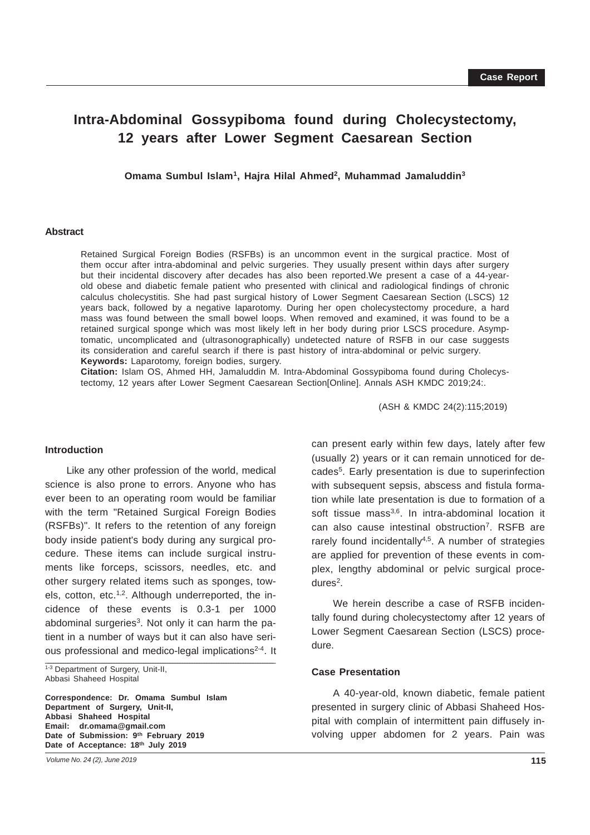# **Intra-Abdominal Gossypiboma found during Cholecystectomy, 12 years after Lower Segment Caesarean Section**

**Omama Sumbul Islam1, Hajra Hilal Ahmed2, Muhammad Jamaluddin3**

#### **Abstract**

Retained Surgical Foreign Bodies (RSFBs) is an uncommon event in the surgical practice. Most of them occur after intra-abdominal and pelvic surgeries. They usually present within days after surgery but their incidental discovery after decades has also been reported.We present a case of a 44-yearold obese and diabetic female patient who presented with clinical and radiological findings of chronic calculus cholecystitis. She had past surgical history of Lower Segment Caesarean Section (LSCS) 12 years back, followed by a negative laparotomy. During her open cholecystectomy procedure, a hard mass was found between the small bowel loops. When removed and examined, it was found to be a retained surgical sponge which was most likely left in her body during prior LSCS procedure. Asymptomatic, uncomplicated and (ultrasonographically) undetected nature of RSFB in our case suggests its consideration and careful search if there is past history of intra-abdominal or pelvic surgery. **Keywords:** Laparotomy, foreign bodies, surgery.

**Citation:** Islam OS, Ahmed HH, Jamaluddin M. Intra-Abdominal Gossypiboma found during Cholecystectomy, 12 years after Lower Segment Caesarean Section[Online]. Annals ASH KMDC 2019;24:.

(ASH & KMDC 24(2):115;2019)

# **Introduction**

\_\_\_\_\_\_\_\_\_\_\_\_\_\_\_\_\_\_\_\_\_\_\_\_\_\_\_\_\_\_\_\_\_\_\_\_\_\_\_\_\_\_\_\_\_\_\_\_\_\_\_\_\_\_\_\_\_\_\_\_\_\_\_\_\_\_\_\_\_\_\_\_\_\_\_\_\_\_\_\_\_\_\_\_\_\_\_\_\_\_\_\_\_\_ Like any other profession of the world, medical science is also prone to errors. Anyone who has ever been to an operating room would be familiar with the term "Retained Surgical Foreign Bodies (RSFBs)". It refers to the retention of any foreign body inside patient's body during any surgical procedure. These items can include surgical instruments like forceps, scissors, needles, etc. and other surgery related items such as sponges, towels, cotton, etc. $1,2$ . Although underreported, the incidence of these events is 0.3-1 per 1000 abdominal surgeries<sup>3</sup>. Not only it can harm the patient in a number of ways but it can also have serious professional and medico-legal implications<sup>2-4</sup>. It

1-3 Department of Surgery, Unit-II, Abbasi Shaheed Hospital

**Correspondence: Dr. Omama Sumbul Islam Department of Surgery, Unit-II, Abbasi Shaheed Hospital Email: dr.omama@gmail.com Date of Submission: 9th February 2019 Date of Acceptance: 18th July 2019**

*Volume No. 24 (2), June 2019*

can present early within few days, lately after few (usually 2) years or it can remain unnoticed for decades5. Early presentation is due to superinfection with subsequent sepsis, abscess and fistula formation while late presentation is due to formation of a soft tissue mass<sup>3,6</sup>. In intra-abdominal location it can also cause intestinal obstruction<sup>7</sup>. RSFB are rarely found incidentally<sup>4,5</sup>. A number of strategies are applied for prevention of these events in complex, lengthy abdominal or pelvic surgical proce $d$ ures<sup>2</sup>.

We herein describe a case of RSFB incidentally found during cholecystectomy after 12 years of Lower Segment Caesarean Section (LSCS) procedure.

### **Case Presentation**

A 40-year-old, known diabetic, female patient presented in surgery clinic of Abbasi Shaheed Hospital with complain of intermittent pain diffusely involving upper abdomen for 2 years. Pain was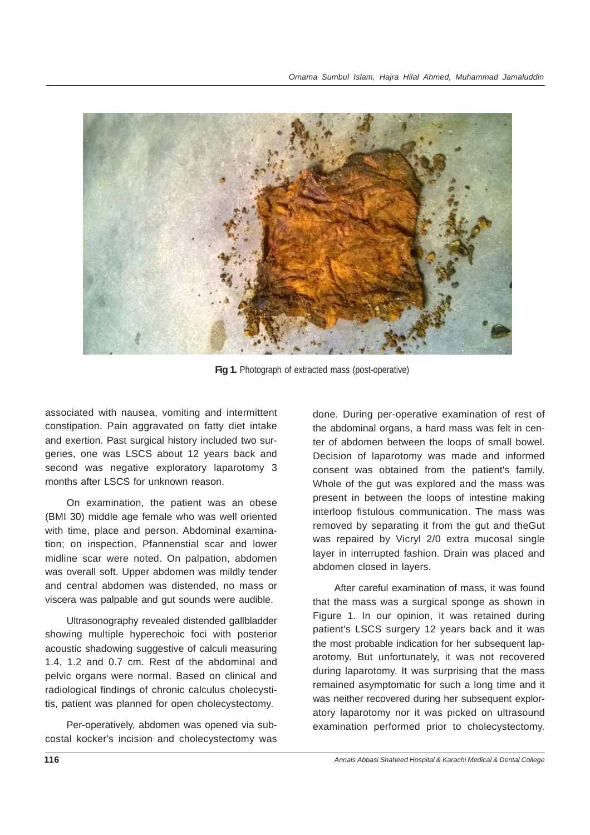

**Fig 1.** Photograph of extracted mass (post-operative)

associated with nausea, vomiting and intermittent constipation. Pain aggravated on fatty diet intake and exertion. Past surgical history included two surgeries, one was LSCS about 12 years back and second was negative exploratory laparotomy 3 months after LSCS for unknown reason.

On examination, the patient was an obese (BMI 30) middle age female who was well oriented with time, place and person. Abdominal examination; on inspection, Pfannenstial scar and lower midline scar were noted. On palpation, abdomen was overall soft. Upper abdomen was mildly tender and central abdomen was distended, no mass or viscera was palpable and gut sounds were audible.

Ultrasonography revealed distended gallbladder showing multiple hyperechoic foci with posterior acoustic shadowing suggestive of calculi measuring 1.4, 1.2 and 0.7 cm. Rest of the abdominal and pelvic organs were normal. Based on clinical and radiological findings of chronic calculus cholecystitis, patient was planned for open cholecystectomy.

Per-operatively, abdomen was opened via subcostal kocker's incision and cholecystectomy was done. During per-operative examination of rest of the abdominal organs, a hard mass was felt in center of abdomen between the loops of small bowel. Decision of laparotomy was made and informed consent was obtained from the patient's family. Whole of the gut was explored and the mass was present in between the loops of intestine making interloop fistulous communication. The mass was removed by separating it from the gut and theGut was repaired by Vicryl 2/0 extra mucosal single layer in interrupted fashion. Drain was placed and abdomen closed in layers.

After careful examination of mass, it was found that the mass was a surgical sponge as shown in Figure 1. In our opinion, it was retained during patient's LSCS surgery 12 years back and it was the most probable indication for her subsequent laparotomy. But unfortunately, it was not recovered during laparotomy. It was surprising that the mass remained asymptomatic for such a long time and it was neither recovered during her subsequent exploratory laparotomy nor it was picked on ultrasound examination performed prior to cholecystectomy.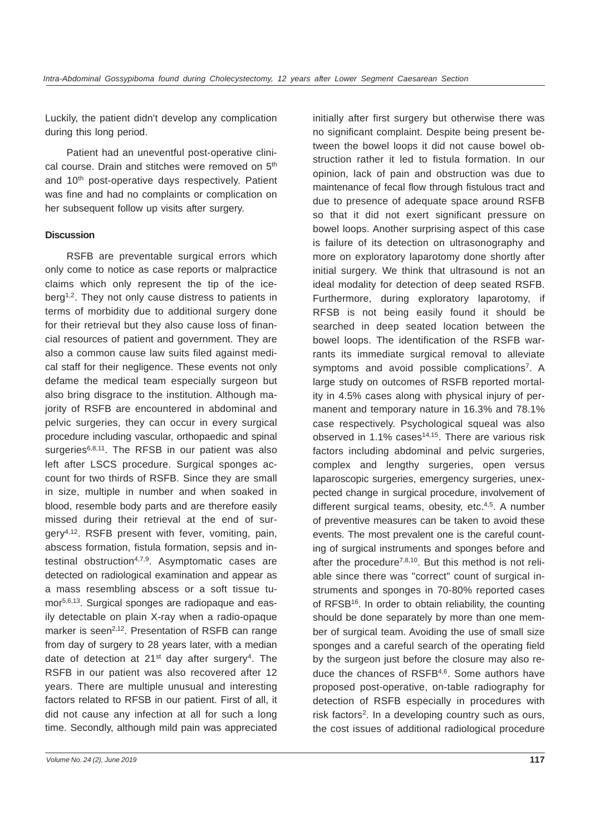Luckily, the patient didn't develop any complication during this long period.

Patient had an uneventful post-operative clinical course. Drain and stitches were removed on 5<sup>th</sup> and 10<sup>th</sup> post-operative days respectively. Patient was fine and had no complaints or complication on her subsequent follow up visits after surgery.

# **Discussion**

RSFB are preventable surgical errors which only come to notice as case reports or malpractice claims which only represent the tip of the iceberg<sup>1,2</sup>. They not only cause distress to patients in terms of morbidity due to additional surgery done for their retrieval but they also cause loss of financial resources of patient and government. They are also a common cause law suits filed against medical staff for their negligence. These events not only defame the medical team especially surgeon but also bring disgrace to the institution. Although majority of RSFB are encountered in abdominal and pelvic surgeries, they can occur in every surgical procedure including vascular, orthopaedic and spinal surgeries<sup>6,8,11</sup>. The RFSB in our patient was also left after LSCS procedure. Surgical sponges account for two thirds of RSFB. Since they are small in size, multiple in number and when soaked in blood, resemble body parts and are therefore easily missed during their retrieval at the end of surgery4,12. RSFB present with fever, vomiting, pain, abscess formation, fistula formation, sepsis and intestinal obstruction<sup>4,7,9</sup>. Asymptomatic cases are detected on radiological examination and appear as a mass resembling abscess or a soft tissue tumor<sup>5,6,13</sup>. Surgical sponges are radiopaque and easily detectable on plain X-ray when a radio-opaque marker is seen<sup>2,12</sup>. Presentation of RSFB can range from day of surgery to 28 years later, with a median date of detection at  $21<sup>st</sup>$  day after surgery<sup>4</sup>. The RSFB in our patient was also recovered after 12 years. There are multiple unusual and interesting factors related to RFSB in our patient. First of all, it did not cause any infection at all for such a long time. Secondly, although mild pain was appreciated

initially after first surgery but otherwise there was no significant complaint. Despite being present between the bowel loops it did not cause bowel obstruction rather it led to fistula formation. In our opinion, lack of pain and obstruction was due to maintenance of fecal flow through fistulous tract and due to presence of adequate space around RSFB so that it did not exert significant pressure on bowel loops. Another surprising aspect of this case is failure of its detection on ultrasonography and more on exploratory laparotomy done shortly after initial surgery. We think that ultrasound is not an ideal modality for detection of deep seated RSFB. Furthermore, during exploratory laparotomy, if RFSB is not being easily found it should be searched in deep seated location between the bowel loops. The identification of the RSFB warrants its immediate surgical removal to alleviate symptoms and avoid possible complications<sup>7</sup>. A large study on outcomes of RSFB reported mortality in 4.5% cases along with physical injury of permanent and temporary nature in 16.3% and 78.1% case respectively. Psychological squeal was also observed in 1.1% cases $14,15$ . There are various risk factors including abdominal and pelvic surgeries. complex and lengthy surgeries, open versus laparoscopic surgeries, emergency surgeries, unexpected change in surgical procedure, involvement of different surgical teams, obesity, etc.<sup>4,5</sup>, A number of preventive measures can be taken to avoid these events. The most prevalent one is the careful counting of surgical instruments and sponges before and after the procedure<sup>7,8,10</sup>. But this method is not reliable since there was "correct" count of surgical instruments and sponges in 70-80% reported cases of RFSB<sup>16</sup>. In order to obtain reliability, the counting should be done separately by more than one member of surgical team. Avoiding the use of small size sponges and a careful search of the operating field by the surgeon just before the closure may also reduce the chances of RSFB4,6. Some authors have proposed post-operative, on-table radiography for detection of RSFB especially in procedures with risk factors<sup>2</sup>. In a developing country such as ours, the cost issues of additional radiological procedure